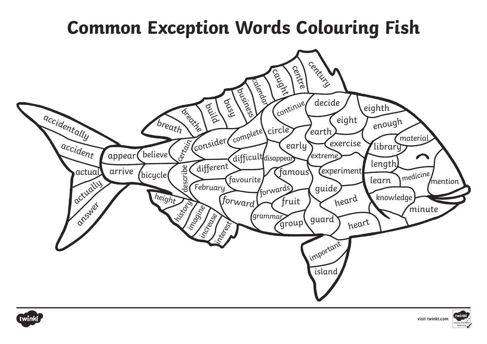## **Common Exception Words Colouring Fish**